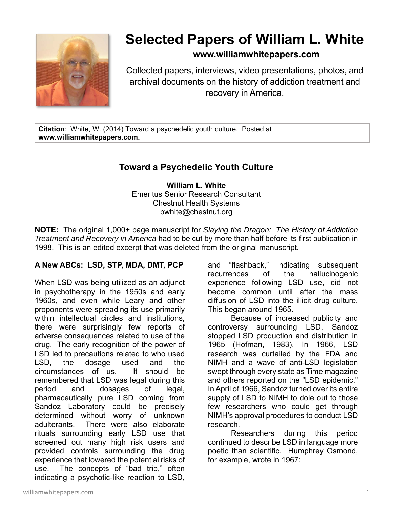

# **Selected Papers of William L. White**

### **www.williamwhitepapers.com**

Collected papers, interviews, video presentations, photos, and archival documents on the history of addiction treatment and recovery in America.

**Citation**: White, W. (2014) Toward a psychedelic youth culture. Posted at **www.williamwhitepapers.com.** 

## **Toward a Psychedelic Youth Culture**

**William L. White**  Emeritus Senior Research Consultant Chestnut Health Systems bwhite@chestnut.org

**NOTE:** The original 1,000+ page manuscript for *Slaying the Dragon: The History of Addiction Treatment and Recovery in America* had to be cut by more than half before its first publication in 1998. This is an edited excerpt that was deleted from the original manuscript.

#### **A New ABCs: LSD, STP, MDA, DMT, PCP**

When LSD was being utilized as an adjunct in psychotherapy in the 1950s and early 1960s, and even while Leary and other proponents were spreading its use primarily within intellectual circles and institutions, there were surprisingly few reports of adverse consequences related to use of the drug. The early recognition of the power of LSD led to precautions related to who used LSD, the dosage used and the circumstances of us. It should be remembered that LSD was legal during this period and dosages of legal, pharmaceutically pure LSD coming from Sandoz Laboratory could be precisely determined without worry of unknown adulterants. There were also elaborate rituals surrounding early LSD use that screened out many high risk users and provided controls surrounding the drug experience that lowered the potential risks of use. The concepts of "bad trip," often indicating a psychotic-like reaction to LSD,

and "flashback," indicating subsequent recurrences of the hallucinogenic experience following LSD use, did not become common until after the mass diffusion of LSD into the illicit drug culture. This began around 1965.

Because of increased publicity and controversy surrounding LSD, Sandoz stopped LSD production and distribution in 1965 (Hofman, 1983). In 1966, LSD research was curtailed by the FDA and NIMH and a wave of anti-LSD legislation swept through every state as Time magazine and others reported on the "LSD epidemic." In April of 1966, Sandoz turned over its entire supply of LSD to NIMH to dole out to those few researchers who could get through NIMH's approval procedures to conduct LSD research.

Researchers during this period continued to describe LSD in language more poetic than scientific. Humphrey Osmond, for example, wrote in 1967: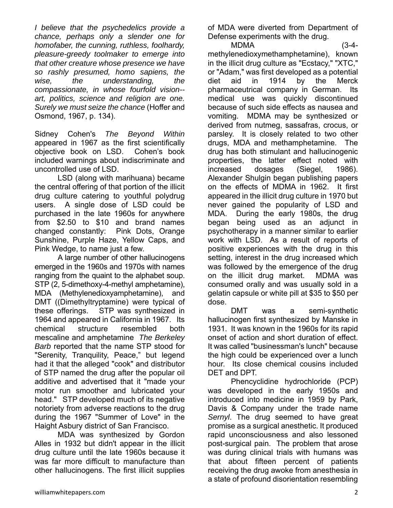*I believe that the psychedelics provide a chance, perhaps only a slender one for homofaber, the cunning, ruthless, foolhardy, pleasure-greedy toolmaker to emerge into that other creature whose presence we have so rashly presumed, homo sapiens, the wise, the understanding, the compassionate, in whose fourfold vision- art, politics, science and religion are one. Surely we must seize the chance* (Hoffer and Osmond, 1967, p. 134).

Sidney Cohen's *The Beyond Within* appeared in 1967 as the first scientifically objective book on LSD. Cohen's book included warnings about indiscriminate and uncontrolled use of LSD.

LSD (along with marihuana) became the central offering of that portion of the illicit drug culture catering to youthful polydrug users. A single dose of LSD could be purchased in the late 1960s for anywhere from \$2.50 to \$10 and brand names changed constantly: Pink Dots, Orange Sunshine, Purple Haze, Yellow Caps, and Pink Wedge, to name just a few.

A large number of other hallucinogens emerged in the 1960s and 1970s with names ranging from the quaint to the alphabet soup. STP (2, 5-dimethoxy-4-methyl amphetamine), MDA (Methylenedioxyamphetamine), and DMT ((Dimethyltryptamine) were typical of these offerings. STP was synthesized in 1964 and appeared in California in 1967. Its chemical structure resembled both mescaline and amphetamine *The Berkeley Barb* reported that the name STP stood for "Serenity, Tranquility, Peace," but legend had it that the alleged "cook" and distributor of STP named the drug after the popular oil additive and advertised that it "made your motor run smoother and lubricated your head." STP developed much of its negative notoriety from adverse reactions to the drug during the 1967 "Summer of Love" in the Haight Asbury district of San Francisco.

 MDA was synthesized by Gordon Alles in 1932 but didn't appear in the illicit drug culture until the late 1960s because it was far more difficult to manufacture than other hallucinogens. The first illicit supplies

of MDA were diverted from Department of Defense experiments with the drug.

 MDMA (3-4 methylenedioxymethamphetamine), known in the illicit drug culture as "Ecstacy," "XTC," or "Adam," was first developed as a potential diet aid in 1914 by the Merck pharmaceutrical company in German. Its medical use was quickly discontinued because of such side effects as nausea and vomiting. MDMA may be synthesized or derived from nutmeg, sassafras, crocus, or parsley. It is closely related to two other drugs, MDA and methamphetamine. The drug has both stimulant and hallucinogenic properties, the latter effect noted with increased dosages (Siegel, 1986). Alexander Shulgin began publishing papers on the effects of MDMA in 1962. It first appeared in the illicit drug culture in 1970 but never gained the popularity of LSD and MDA. During the early 1980s, the drug began being used as an adjunct in psychotherapy in a manner similar to earlier work with LSD. As a result of reports of positive experiences with the drug in this setting, interest in the drug increased which was followed by the emergence of the drug on the illicit drug market. MDMA was consumed orally and was usually sold in a gelatin capsule or white pill at \$35 to \$50 per dose.

DMT was a semi-synthetic hallucinogen first synthesized by Manske in 1931. It was known in the 1960s for its rapid onset of action and short duration of effect. It was called "businessman's lunch" because the high could be experienced over a lunch hour. Its close chemical cousins included DET and DPT.

Phencyclidine hydrochloride (PCP) was developed in the early 1950s and introduced into medicine in 1959 by Park, Davis & Company under the trade name *Sernyl*. The drug seemed to have great promise as a surgical anesthetic. It produced rapid unconsciousness and also lessoned post-surgical pain. The problem that arose was during clinical trials with humans was that about fifteen percent of patients receiving the drug awoke from anesthesia in a state of profound disorientation resembling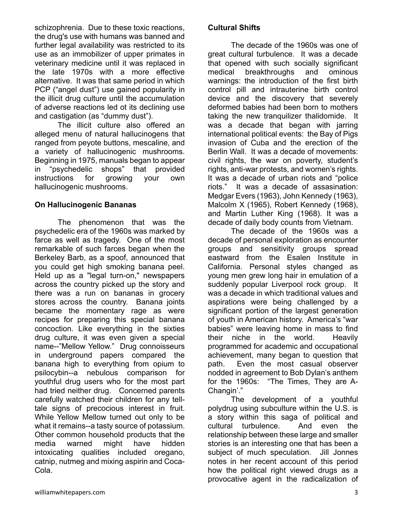schizophrenia. Due to these toxic reactions, the drug's use with humans was banned and further legal availability was restricted to its use as an immobilizer of upper primates in veterinary medicine until it was replaced in the late 1970s with a more effective alternative. It was that same period in which PCP ("angel dust") use gained popularity in the illicit drug culture until the accumulation of adverse reactions led ot its declining use and castigation (as "dummy dust").

The illicit culture also offered an alleged menu of natural hallucinogens that ranged from peyote buttons, mescaline, and a variety of hallucinogenic mushrooms. Beginning in 1975, manuals began to appear in "psychedelic shops" that provided instructions for growing your own hallucinogenic mushrooms.

#### **On Hallucinogenic Bananas**

The phenomenon that was the psychedelic era of the 1960s was marked by farce as well as tragedy. One of the most remarkable of such farces began when the Berkeley Barb, as a spoof, announced that you could get high smoking banana peel. Held up as a "legal turn-on," newspapers across the country picked up the story and there was a run on bananas in grocery stores across the country. Banana joints became the momentary rage as were recipes for preparing this special banana concoction. Like everything in the sixties drug culture, it was even given a special name--"Mellow Yellow." Drug connoisseurs in underground papers compared the banana high to everything from opium to psilocybin--a nebulous comparison for youthful drug users who for the most part had tried neither drug. Concerned parents carefully watched their children for any telltale signs of precocious interest in fruit. While Yellow Mellow turned out only to be what it remains--a tasty source of potassium. Other common household products that the media warned might have hidden intoxicating qualities included oregano, catnip, nutmeg and mixing aspirin and Coca-Cola.

#### **Cultural Shifts**

The decade of the 1960s was one of great cultural turbulence. It was a decade that opened with such socially significant medical breakthroughs and ominous warnings: the introduction of the first birth control pill and intrauterine birth control device and the discovery that severely deformed babies had been born to mothers taking the new tranquilizer thalidomide. It was a decade that began with jarring international political events: the Bay of Pigs invasion of Cuba and the erection of the Berlin Wall. It was a decade of movements: civil rights, the war on poverty, student's rights, anti-war protests, and women's rights. It was a decade of urban riots and "police riots." It was a decade of assasination: Medgar Evers (1963), John Kennedy (1963), Malcolm X (1965), Robert Kennedy (1968), and Martin Luther King (1968). It was a decade of daily body counts from Vietnam.

The decade of the 1960s was a decade of personal exploration as encounter groups and sensitivity groups spread eastward from the Esalen Institute in California. Personal styles changed as young men grew long hair in emulation of a suddenly popular Liverpool rock group. It was a decade in which traditional values and aspirations were being challenged by a significant portion of the largest generation of youth in American history. America's "war babies" were leaving home in mass to find their niche in the world. Heavily programmed for academic and occupational achievement, many began to question that path. Even the most casual observer nodded in agreement to Bob Dylan's anthem for the 1960s: "The Times, They are A-Changin'."

The development of a youthful polydrug using subculture within the U.S. is a story within this saga of political and cultural turbulence. And even the relationship between these large and smaller stories is an interesting one that has been a subject of much speculation. Jill Jonnes notes in her recent account of this period how the political right viewed drugs as a provocative agent in the radicalization of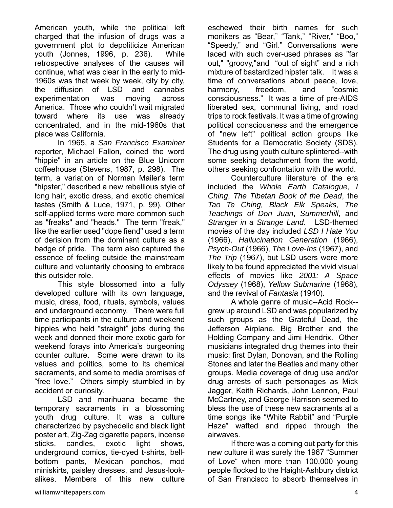American youth, while the political left charged that the infusion of drugs was a government plot to depoliticize American youth (Jonnes, 1996, p. 236). While retrospective analyses of the causes will continue, what was clear in the early to mid-1960s was that week by week, city by city, the diffusion of LSD and cannabis experimentation was moving across America. Those who couldn't wait migrated toward where its use was already concentrated, and in the mid-1960s that place was California.

In 1965, a *San Francisco Examiner* reporter, Michael Fallon, coined the word "hippie" in an article on the Blue Unicorn coffeehouse (Stevens, 1987, p. 298). The term, a variation of Norman Mailer's term "hipster," described a new rebellious style of long hair, exotic dress, and exotic chemical tastes (Smith & Luce, 1971, p. 99). Other self-applied terms were more common such as "freaks" and "heads." The term "freak," like the earlier used "dope fiend" used a term of derision from the dominant culture as a badge of pride. The term also captured the essence of feeling outside the mainstream culture and voluntarily choosing to embrace this outsider role.

This style blossomed into a fully developed culture with its own language, music, dress, food, rituals, symbols, values and underground economy. There were full time participants in the culture and weekend hippies who held "straight" jobs during the week and donned their more exotic garb for weekend forays into America's burgeoning counter culture. Some were drawn to its values and politics, some to its chemical sacraments, and some to media promises of "free love." Others simply stumbled in by accident or curiosity.

LSD and marihuana became the temporary sacraments in a blossoming youth drug culture. It was a culture characterized by psychedelic and black light poster art, Zig-Zag cigarette papers, incense sticks, candles, exotic light shows, underground comics, tie-dyed t-shirts, bellbottom pants, Mexican ponchos, mod miniskirts, paisley dresses, and Jesus-lookalikes. Members of this new culture

eschewed their birth names for such monikers as "Bear," "Tank," "River," "Boo," "Speedy," and "Girl." Conversations were laced with such over-used phrases as "far out," "groovy,"and "out of sight" and a rich mixture of bastardized hipster talk. It was a time of conversations about peace, love, harmony, freedom, and "cosmic consciousness." It was a time of pre-AIDS liberated sex, communal living, and road trips to rock festivals. It was a time of growing political consciousness and the emergence of "new left" political action groups like Students for a Democratic Society (SDS). The drug using youth culture splintered--with some seeking detachment from the world, others seeking confrontation with the world.

Counterculture literature of the era included the *Whole Earth Catalogue*, *I Ching*, *The Tibetan Book of the Dead*, the *Tao Te Ching, Black Elk Speaks*, *The Teachings of Don Juan*, *Summerhill*, and *Stranger in a Strange Land*. LSD-themed movies of the day included *LSD I Hate You* (1966), *Hallucination Generation* (1966), *Psych-Out* (1966), *The Love-Ins* (1967), and *The Trip* (1967), but LSD users were more likely to be found appreciated the vivid visual effects of movies like *2001: A Space Odyssey* (1968), *Yellow Submarine* (1968), and the revival of *Fantasia* (1940).

A whole genre of music--Acid Rock- grew up around LSD and was popularized by such groups as the Grateful Dead, the Jefferson Airplane, Big Brother and the Holding Company and Jimi Hendrix. Other musicians integrated drug themes into their music: first Dylan, Donovan, and the Rolling Stones and later the Beatles and many other groups. Media coverage of drug use and/or drug arrests of such personages as Mick Jagger, Keith Richards, John Lennon, Paul McCartney, and George Harrison seemed to bless the use of these new sacraments at a time songs like "White Rabbit" and "Purple Haze" wafted and ripped through the airwaves.

If there was a coming out party for this new culture it was surely the 1967 "Summer of Love" when more than 100,000 young people flocked to the Haight-Ashbury district of San Francisco to absorb themselves in